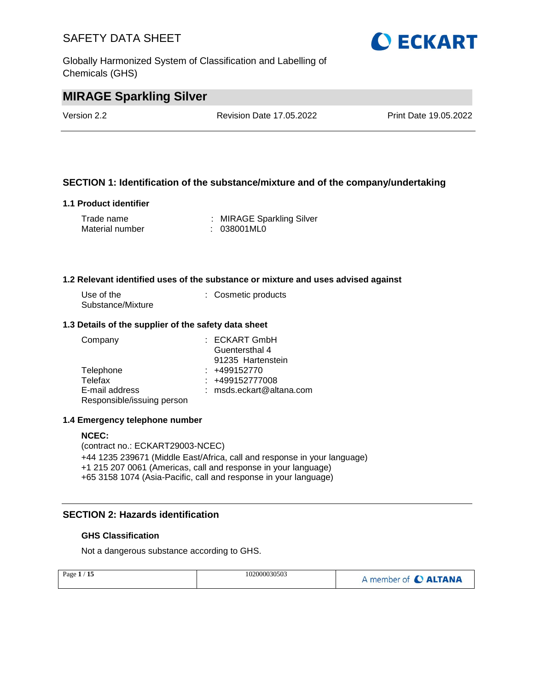Globally Harmonized System of Classification and Labelling of Chemicals (GHS)



# **MIRAGE Sparkling Silver**

Version 2.2 Revision Date 17.05.2022 Print Date 19.05.2022

## **SECTION 1: Identification of the substance/mixture and of the company/undertaking**

## **1.1 Product identifier**

| Trade name      | : MIRAGE Sparkling Silver |
|-----------------|---------------------------|
| Material number | : 038001ML0               |

#### **1.2 Relevant identified uses of the substance or mixture and uses advised against**

| Use of the        | : Cosmetic products |
|-------------------|---------------------|
| Substance/Mixture |                     |

#### **1.3 Details of the supplier of the safety data sheet**

| Company                    | $:$ ECKART GmbH            |
|----------------------------|----------------------------|
|                            | Guentersthal 4             |
|                            | 91235 Hartenstein          |
| Telephone                  | $: +499152770$             |
| Telefax                    | $: +499152777008$          |
| E-mail address             | $:$ msds.eckart@altana.com |
| Responsible/issuing person |                            |

#### **1.4 Emergency telephone number**

#### **NCEC:**

(contract no.: ECKART29003-NCEC) +44 1235 239671 (Middle East/Africa, call and response in your language) +1 215 207 0061 (Americas, call and response in your language) +65 3158 1074 (Asia-Pacific, call and response in your language)

## **SECTION 2: Hazards identification**

## **GHS Classification**

Not a dangerous substance according to GHS.

| Page $1/15$ | 102000030503 | A member of C ALTANA |
|-------------|--------------|----------------------|
|             |              |                      |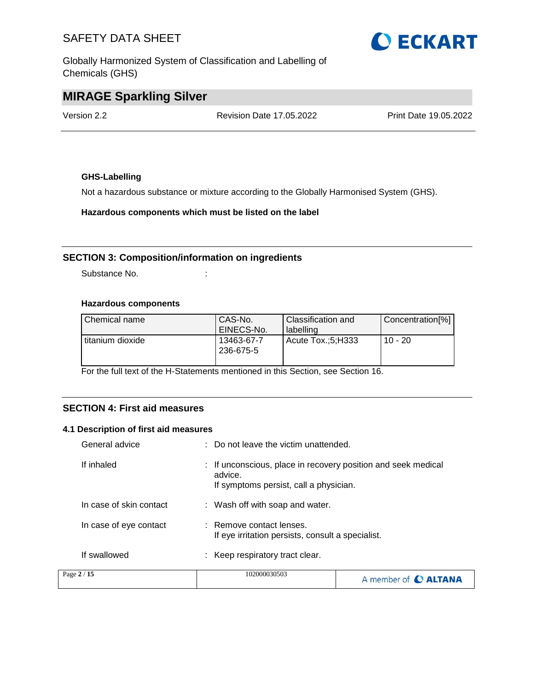Globally Harmonized System of Classification and Labelling of Chemicals (GHS)



# **MIRAGE Sparkling Silver**

Version 2.2 Revision Date 17.05.2022 Print Date 19.05.2022

## **GHS-Labelling**

Not a hazardous substance or mixture according to the Globally Harmonised System (GHS).

**Hazardous components which must be listed on the label**

## **SECTION 3: Composition/information on ingredients**

Substance No. **:**  $\qquad \qquad$  :

## **Hazardous components**

| Chemical name    | CAS-No.<br>EINECS-No.   | Classification and<br>labelling | Concentration[%] |
|------------------|-------------------------|---------------------------------|------------------|
| titanium dioxide | 13463-67-7<br>236-675-5 | Acute Tox.:5:H333               | $10 - 20$        |

For the full text of the H-Statements mentioned in this Section, see Section 16.

## **SECTION 4: First aid measures**

#### **4.1 Description of first aid measures**

| General advice          | $\therefore$ Do not leave the victim unattended.                                                                   |                      |
|-------------------------|--------------------------------------------------------------------------------------------------------------------|----------------------|
| If inhaled              | : If unconscious, place in recovery position and seek medical<br>advice.<br>If symptoms persist, call a physician. |                      |
| In case of skin contact | : Wash off with soap and water.                                                                                    |                      |
| In case of eye contact  | : Remove contact lenses.<br>If eye irritation persists, consult a specialist.                                      |                      |
| If swallowed            | : Keep respiratory tract clear.                                                                                    |                      |
| Page 2 / 15             | 102000030503                                                                                                       | A member of C ALTANA |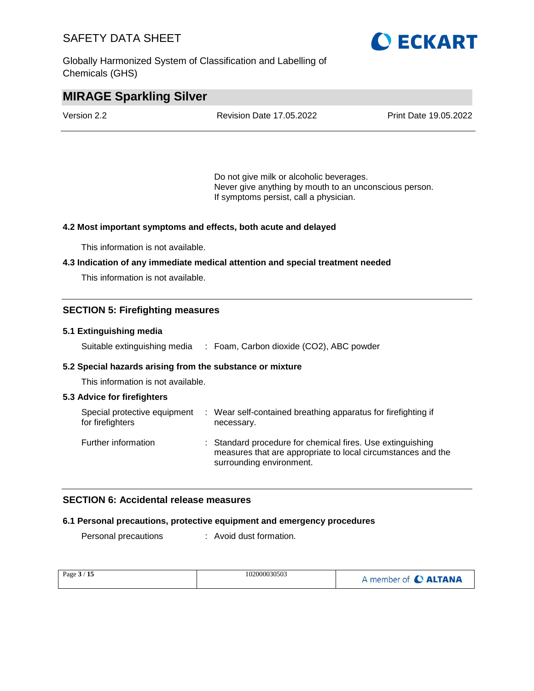Globally Harmonized System of Classification and Labelling of Chemicals (GHS)



## **MIRAGE Sparkling Silver**

| Version 2.2 | <b>Revision Date 17.05.2022</b> | <b>Print Date 19.05.2022</b> |
|-------------|---------------------------------|------------------------------|
|             |                                 |                              |

Do not give milk or alcoholic beverages. Never give anything by mouth to an unconscious person. If symptoms persist, call a physician.

#### **4.2 Most important symptoms and effects, both acute and delayed**

This information is not available.

#### **4.3 Indication of any immediate medical attention and special treatment needed**

This information is not available.

## **SECTION 5: Firefighting measures**

#### **5.1 Extinguishing media**

Suitable extinguishing media : Foam, Carbon dioxide (CO2), ABC powder

#### **5.2 Special hazards arising from the substance or mixture**

This information is not available.

#### **5.3 Advice for firefighters**

| Special protective equipment<br>for firefighters | : Wear self-contained breathing apparatus for firefighting if<br>necessary.                                                                            |
|--------------------------------------------------|--------------------------------------------------------------------------------------------------------------------------------------------------------|
| Further information                              | : Standard procedure for chemical fires. Use extinguishing<br>measures that are appropriate to local circumstances and the<br>surrounding environment. |

## **SECTION 6: Accidental release measures**

#### **6.1 Personal precautions, protective equipment and emergency procedures**

Personal precautions : Avoid dust formation.

| Page $3/15$ | 102000030503 | A member of C ALTANA |
|-------------|--------------|----------------------|
|-------------|--------------|----------------------|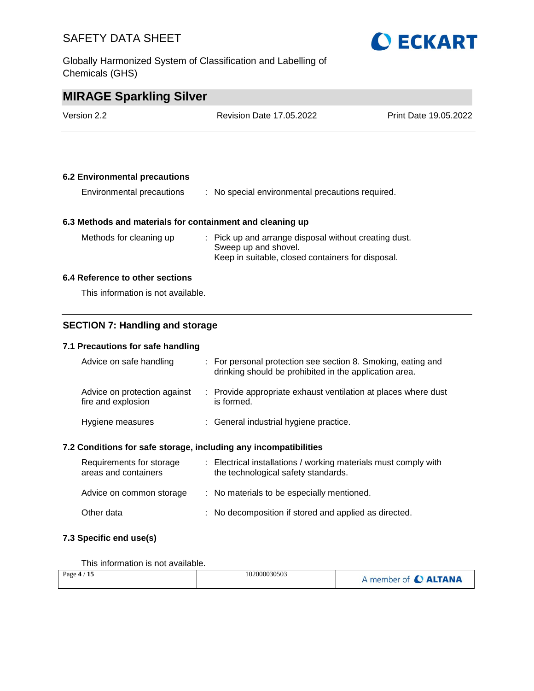Globally Harmonized System of Classification and Labelling of Chemicals (GHS)



# **MIRAGE Sparkling Silver**

| Version 2.2 | <b>Revision Date 17.05.2022</b> | <b>Print Date 19.05.2022</b> |
|-------------|---------------------------------|------------------------------|
|             |                                 |                              |

## **6.2 Environmental precautions**

| Environmental precautions |  | No special environmental precautions required. |  |  |
|---------------------------|--|------------------------------------------------|--|--|
|---------------------------|--|------------------------------------------------|--|--|

## **6.3 Methods and materials for containment and cleaning up**

| Methods for cleaning up | : Pick up and arrange disposal without creating dust. |
|-------------------------|-------------------------------------------------------|
|                         | Sweep up and shovel.                                  |
|                         | Keep in suitable, closed containers for disposal.     |

## **6.4 Reference to other sections**

This information is not available.

## **SECTION 7: Handling and storage**

## **7.1 Precautions for safe handling**

| Advice on safe handling                            | : For personal protection see section 8. Smoking, eating and<br>drinking should be prohibited in the application area. |
|----------------------------------------------------|------------------------------------------------------------------------------------------------------------------------|
| Advice on protection against<br>fire and explosion | : Provide appropriate exhaust ventilation at places where dust<br>is formed.                                           |
| Hygiene measures                                   | : General industrial hygiene practice.                                                                                 |

## **7.2 Conditions for safe storage, including any incompatibilities**

| Requirements for storage<br>areas and containers | : Electrical installations / working materials must comply with<br>the technological safety standards. |
|--------------------------------------------------|--------------------------------------------------------------------------------------------------------|
| Advice on common storage                         | : No materials to be especially mentioned.                                                             |
| Other data                                       | : No decomposition if stored and applied as directed.                                                  |

## **7.3 Specific end use(s)**

This information is not available.

| Page $4/15$ | 102000030503 | A member of C ALTANA |
|-------------|--------------|----------------------|
|-------------|--------------|----------------------|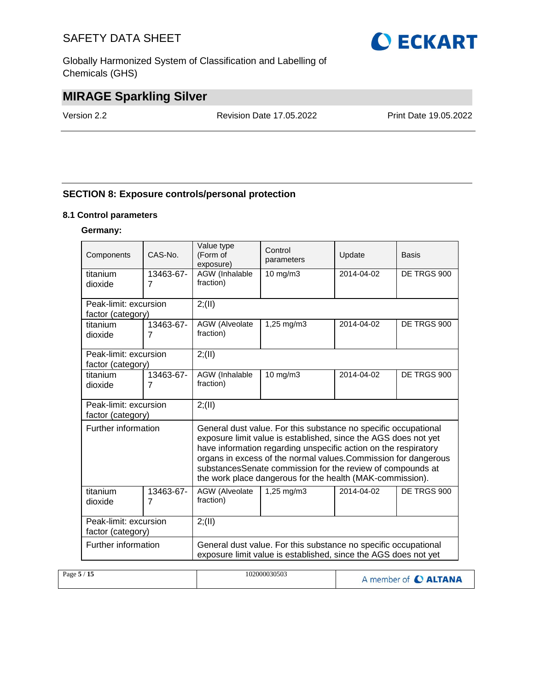Globally Harmonized System of Classification and Labelling of Chemicals (GHS)



# **MIRAGE Sparkling Silver**

Version 2.2 Revision Date 17.05.2022 Print Date 19.05.2022

## **SECTION 8: Exposure controls/personal protection**

## **8.1 Control parameters**

#### **Germany:**

| Components            | $CAS-N0$ .                  | Value type<br>Control<br>(Form of<br>Update<br>parameters<br>exposure) |                                                                                                                                                                                                                                                                                                                                                                                                     | Basis      |             |  |
|-----------------------|-----------------------------|------------------------------------------------------------------------|-----------------------------------------------------------------------------------------------------------------------------------------------------------------------------------------------------------------------------------------------------------------------------------------------------------------------------------------------------------------------------------------------------|------------|-------------|--|
| titanium<br>dioxide   | 13463-67-<br>$\overline{7}$ | AGW (Inhalable<br>fraction)                                            | 10 mg/m3                                                                                                                                                                                                                                                                                                                                                                                            | 2014-04-02 | DE TRGS 900 |  |
|                       |                             |                                                                        |                                                                                                                                                                                                                                                                                                                                                                                                     |            |             |  |
| Peak-limit: excursion |                             | 2; (II)                                                                |                                                                                                                                                                                                                                                                                                                                                                                                     |            |             |  |
| factor (category)     |                             |                                                                        |                                                                                                                                                                                                                                                                                                                                                                                                     |            |             |  |
| titanium<br>dioxide   | 13463-67-<br>$\overline{7}$ | AGW (Alveolate<br>fraction)                                            | 1,25 mg/m3                                                                                                                                                                                                                                                                                                                                                                                          | 2014-04-02 | DE TRGS 900 |  |
|                       |                             |                                                                        |                                                                                                                                                                                                                                                                                                                                                                                                     |            |             |  |
| Peak-limit: excursion |                             | 2; (II)                                                                |                                                                                                                                                                                                                                                                                                                                                                                                     |            |             |  |
| factor (category)     |                             |                                                                        |                                                                                                                                                                                                                                                                                                                                                                                                     |            |             |  |
| titanium              | 13463-67-                   | AGW (Inhalable                                                         | $10 \text{ mg/m}$                                                                                                                                                                                                                                                                                                                                                                                   | 2014-04-02 | DE TRGS 900 |  |
| dioxide               | $\overline{7}$              | fraction)                                                              |                                                                                                                                                                                                                                                                                                                                                                                                     |            |             |  |
| Peak-limit: excursion |                             | 2; (II)                                                                |                                                                                                                                                                                                                                                                                                                                                                                                     |            |             |  |
| factor (category)     |                             |                                                                        |                                                                                                                                                                                                                                                                                                                                                                                                     |            |             |  |
| Further information   |                             |                                                                        | General dust value. For this substance no specific occupational<br>exposure limit value is established, since the AGS does not yet<br>have information regarding unspecific action on the respiratory<br>organs in excess of the normal values. Commission for dangerous<br>substancesSenate commission for the review of compounds at<br>the work place dangerous for the health (MAK-commission). |            |             |  |
| titanium              | 13463-67-                   | AGW (Alveolate                                                         | 1,25 mg/m3                                                                                                                                                                                                                                                                                                                                                                                          | 2014-04-02 | DE TRGS 900 |  |
| dioxide               | $\overline{7}$              | fraction)                                                              |                                                                                                                                                                                                                                                                                                                                                                                                     |            |             |  |
|                       |                             |                                                                        |                                                                                                                                                                                                                                                                                                                                                                                                     |            |             |  |
| Peak-limit: excursion |                             | 2; (II)                                                                |                                                                                                                                                                                                                                                                                                                                                                                                     |            |             |  |
| factor (category)     |                             |                                                                        |                                                                                                                                                                                                                                                                                                                                                                                                     |            |             |  |
| Further information   |                             |                                                                        | General dust value. For this substance no specific occupational<br>exposure limit value is established, since the AGS does not yet                                                                                                                                                                                                                                                                  |            |             |  |

| Page $5/15$ | 102000030503 | A member of C ALTANA |
|-------------|--------------|----------------------|
|-------------|--------------|----------------------|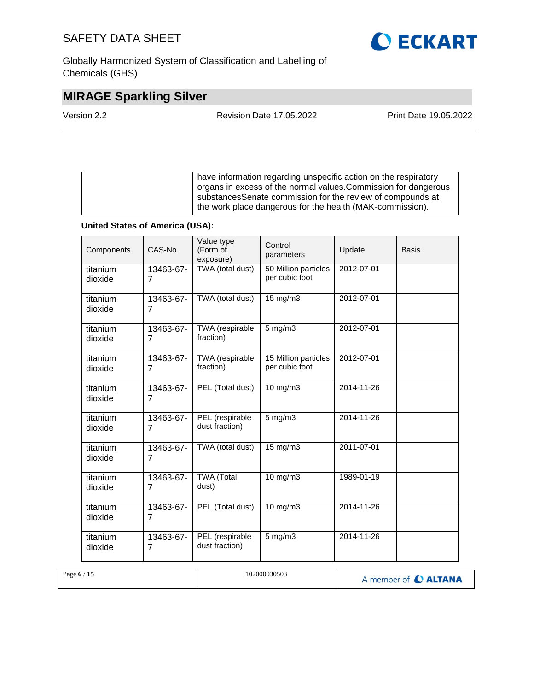Globally Harmonized System of Classification and Labelling of Chemicals (GHS)

# **O ECKART**

# **MIRAGE Sparkling Silver**

Revision Date 17.05.2022 Print Date 19.05.2022

have information regarding unspecific action on the respiratory organs in excess of the normal values.Commission for dangerous substancesSenate commission for the review of compounds at the work place dangerous for the health (MAK-commission).

## **United States of America (USA):**

| Components          | CAS-No.                     | Value type<br>(Form of<br>exposure) | Control<br>parameters                  | Update     | <b>Basis</b> |
|---------------------|-----------------------------|-------------------------------------|----------------------------------------|------------|--------------|
| titanium<br>dioxide | 13463-67-<br>7              | TWA (total dust)                    | 50 Million particles<br>per cubic foot | 2012-07-01 |              |
| titanium<br>dioxide | 13463-67-<br>7              | TWA (total dust)                    | 15 mg/m3                               | 2012-07-01 |              |
| titanium<br>dioxide | 13463-67-<br>$\overline{7}$ | TWA (respirable<br>fraction)        | $5$ mg/m $3$                           | 2012-07-01 |              |
| titanium<br>dioxide | 13463-67-<br>7              | TWA (respirable<br>fraction)        | 15 Million particles<br>per cubic foot | 2012-07-01 |              |
| titanium<br>dioxide | 13463-67-<br>7              | PEL (Total dust)                    | 10 mg/m3                               | 2014-11-26 |              |
| titanium<br>dioxide | 13463-67-<br>$\overline{7}$ | PEL (respirable<br>dust fraction)   | $5$ mg/m $3$                           | 2014-11-26 |              |
| titanium<br>dioxide | 13463-67-<br>7              | TWA (total dust)                    | 15 mg/m3                               | 2011-07-01 |              |
| titanium<br>dioxide | 13463-67-<br>7              | <b>TWA</b> (Total<br>dust)          | $10$ mg/m $3$                          | 1989-01-19 |              |
| titanium<br>dioxide | 13463-67-<br>7              | PEL (Total dust)                    | 10 mg/m3                               | 2014-11-26 |              |
| titanium<br>dioxide | 13463-67-<br>7              | PEL (respirable<br>dust fraction)   | $5$ mg/m $3$                           | 2014-11-26 |              |

| Page $6/15$ | 102000030503 | A member of C ALTANA |
|-------------|--------------|----------------------|
|             |              |                      |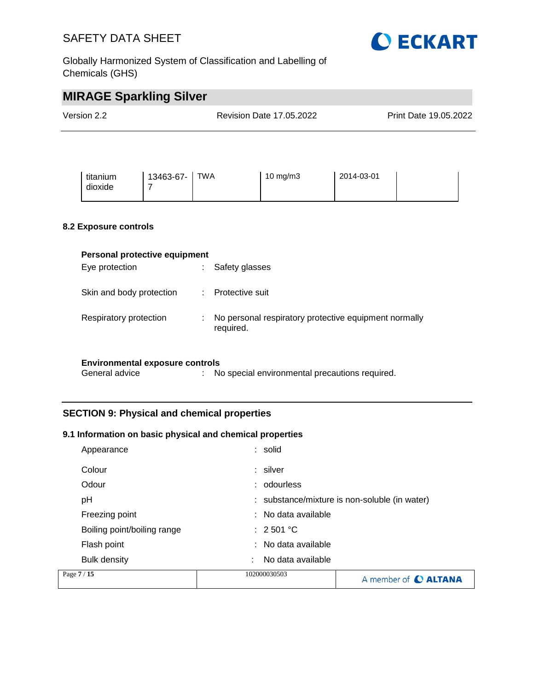



# **MIRAGE Sparkling Silver**

| Version 2.2                  |                               | Revision Date 17.05.2022 |          |            | Print Date 19.05.2022 |
|------------------------------|-------------------------------|--------------------------|----------|------------|-----------------------|
| titanium<br>dioxide          | 13463-67-<br>7                | <b>TWA</b>               | 10 mg/m3 | 2014-03-01 |                       |
| <b>8.2 Exposure controls</b> | Personal protective equipment |                          |          |            |                       |

|                          | <u>. Croonar protocity coupment</u> |                                                                    |  |  |  |
|--------------------------|-------------------------------------|--------------------------------------------------------------------|--|--|--|
| Eye protection           |                                     | Safety glasses                                                     |  |  |  |
| Skin and body protection |                                     | Protective suit                                                    |  |  |  |
| Respiratory protection   |                                     | No personal respiratory protective equipment normally<br>required. |  |  |  |

#### **Environmental exposure controls**

General advice : No special environmental precautions required.

## **SECTION 9: Physical and chemical properties**

## **9.1 Information on basic physical and chemical properties**

| Page 7 / 15                 | 102000030503           | A member of C ALTANA                          |
|-----------------------------|------------------------|-----------------------------------------------|
| <b>Bulk density</b>         | No data available<br>٠ |                                               |
| Flash point                 | : No data available    |                                               |
| Boiling point/boiling range | $\div$ 2.501 °C        |                                               |
| Freezing point              | : No data available    |                                               |
| рH                          |                        | : substance/mixture is non-soluble (in water) |
| Odour                       | : odourless            |                                               |
| Colour                      | : silver               |                                               |
| Appearance                  | : solid                |                                               |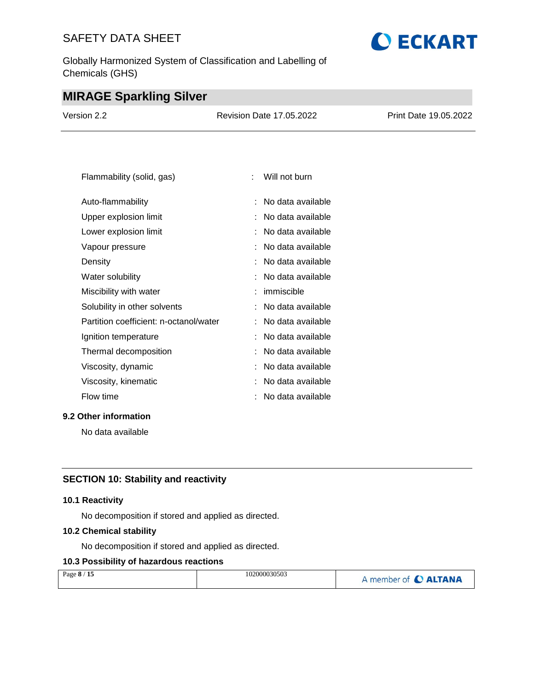Globally Harmonized System of Classification and Labelling of Chemicals (GHS)

# **O ECKART**

# **MIRAGE Sparkling Silver**

| Version 2.2 | <b>Revision Date 17.05.2022</b> | Print Date 19.05.2022 |
|-------------|---------------------------------|-----------------------|
|             |                                 |                       |

| Flammability (solid, gas)              |    | Will not burn     |
|----------------------------------------|----|-------------------|
| Auto-flammability                      | ٠  | No data available |
| Upper explosion limit                  |    | No data available |
| Lower explosion limit                  | ÷  | No data available |
| Vapour pressure                        |    | No data available |
| Density                                |    | No data available |
| Water solubility                       |    | No data available |
| Miscibility with water                 |    | immiscible        |
| Solubility in other solvents           | t. | No data available |
| Partition coefficient: n-octanol/water |    | No data available |
| Ignition temperature                   | t  | No data available |
| Thermal decomposition                  |    | No data available |
| Viscosity, dynamic                     |    | No data available |
| Viscosity, kinematic                   |    | No data available |
| Flow time                              |    | No data available |

## **9.2 Other information**

No data available

## **SECTION 10: Stability and reactivity**

## **10.1 Reactivity**

No decomposition if stored and applied as directed.

## **10.2 Chemical stability**

No decomposition if stored and applied as directed.

## **10.3 Possibility of hazardous reactions**

| Page 8 / 15 | 102000030503 | A member of C ALTANA |
|-------------|--------------|----------------------|
|             |              |                      |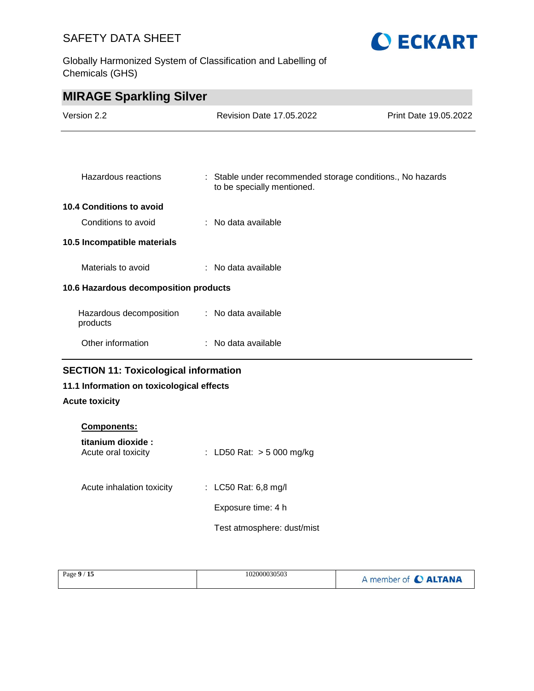Globally Harmonized System of Classification and Labelling of Chemicals (GHS)



| <b>MIRAGE Sparkling Silver</b>               |                                                                                          |                       |
|----------------------------------------------|------------------------------------------------------------------------------------------|-----------------------|
| Version 2.2                                  | <b>Revision Date 17.05.2022</b>                                                          | Print Date 19.05.2022 |
|                                              |                                                                                          |                       |
|                                              |                                                                                          |                       |
| Hazardous reactions                          | : Stable under recommended storage conditions., No hazards<br>to be specially mentioned. |                       |
| 10.4 Conditions to avoid                     |                                                                                          |                       |
| Conditions to avoid                          | $\therefore$ No data available                                                           |                       |
| 10.5 Incompatible materials                  |                                                                                          |                       |
| Materials to avoid                           | : No data available                                                                      |                       |
| 10.6 Hazardous decomposition products        |                                                                                          |                       |
| Hazardous decomposition<br>products          | : No data available                                                                      |                       |
| Other information                            | : No data available                                                                      |                       |
| <b>SECTION 11: Toxicological information</b> |                                                                                          |                       |

## **11.1 Information on toxicological effects**

## **Acute toxicity**

| <b>Components:</b>                        |                             |
|-------------------------------------------|-----------------------------|
| titanium dioxide :<br>Acute oral toxicity | : LD50 Rat: $>$ 5 000 mg/kg |
| Acute inhalation toxicity                 | : LC50 Rat: 6,8 mg/l        |
|                                           | Exposure time: 4 h          |
|                                           | Test atmosphere: dust/mist  |

| Page 9<br>.<br>15 | 102000030503 | $\mathcal{L}$<br><b>CALTANA</b><br>member of |
|-------------------|--------------|----------------------------------------------|
|-------------------|--------------|----------------------------------------------|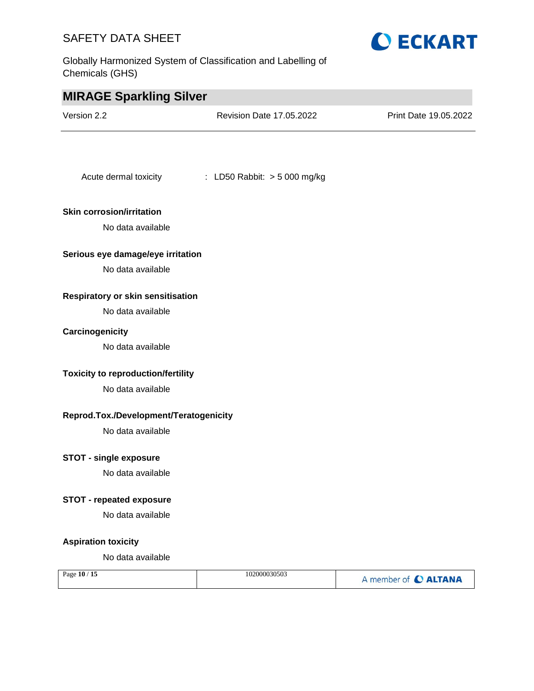Globally Harmonized System of Classification and Labelling of Chemicals (GHS)



**O ECKART**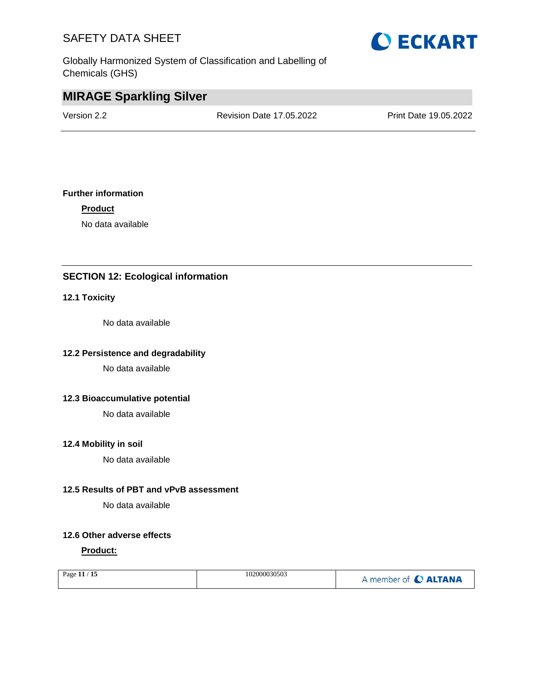Globally Harmonized System of Classification and Labelling of Chemicals (GHS)



# **MIRAGE Sparkling Silver**

Version 2.2 Revision Date 17.05.2022 Print Date 19.05.2022

## **Further information**

**Product**

No data available

## **SECTION 12: Ecological information**

## **12.1 Toxicity**

No data available

## **12.2 Persistence and degradability**

No data available

#### **12.3 Bioaccumulative potential**

No data available

#### **12.4 Mobility in soil**

No data available

## **12.5 Results of PBT and vPvB assessment**

No data available

## **12.6 Other adverse effects**

#### **Product:**

| Page 11 / 15 | 102000030503 | A member of C ALTANA |
|--------------|--------------|----------------------|
|              |              |                      |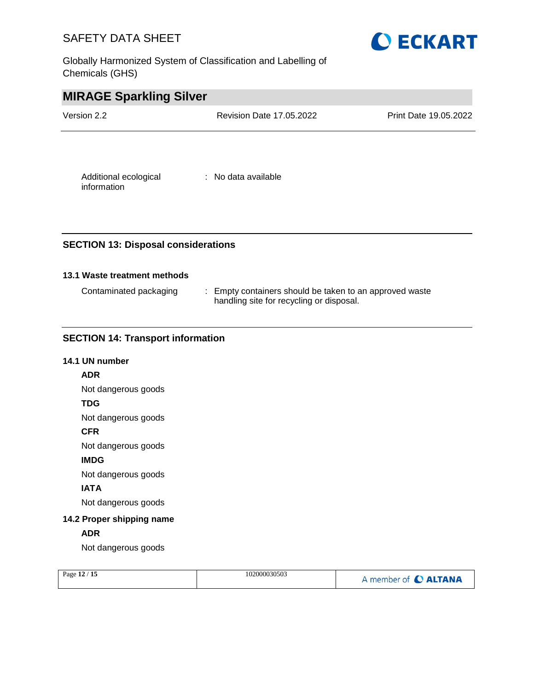Globally Harmonized System of Classification and Labelling of Chemicals (GHS)



| <b>MIRAGE Sparkling Silver</b> |                                 |                       |
|--------------------------------|---------------------------------|-----------------------|
| Version 2.2                    | <b>Revision Date 17.05.2022</b> | Print Date 19.05.2022 |
|                                |                                 |                       |
| Additional ecological          | : No data available             |                       |

## **SECTION 13: Disposal considerations**

## **13.1 Waste treatment methods**

information

| Contaminated packaging | : Empty containers should be taken to an approved waste |
|------------------------|---------------------------------------------------------|
|                        | handling site for recycling or disposal.                |

## **SECTION 14: Transport information**

# **14.1 UN number ADR** Not dangerous goods **TDG** Not dangerous goods **CFR** Not dangerous goods **IMDG** Not dangerous goods **IATA** Not dangerous goods **14.2 Proper shipping name ADR** Not dangerous goods

| $^{\prime}$ 15<br>Page $12/$ | 102000030503 | A member of C ALTANA |
|------------------------------|--------------|----------------------|
|------------------------------|--------------|----------------------|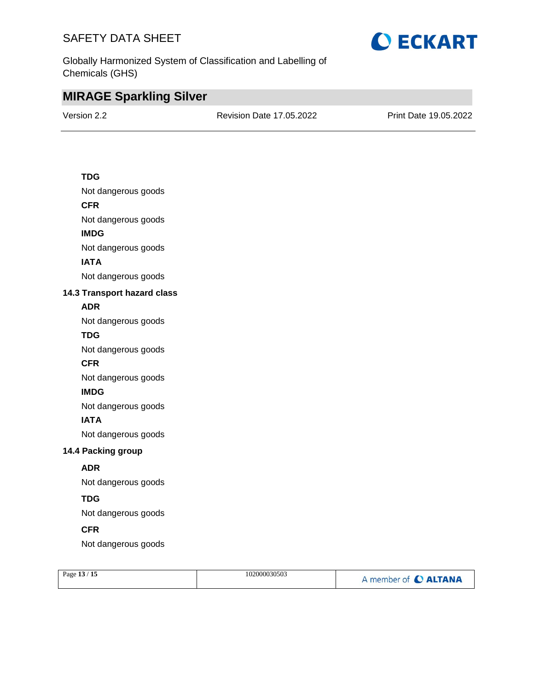

Globally Harmonized System of Classification and Labelling of Chemicals (GHS)

# **MIRAGE Sparkling Silver**

Version 2.2 Revision Date 17.05.2022 Print Date 19.05.2022

## **TDG**

Not dangerous goods

## **CFR**

Not dangerous goods

## **IMDG**

Not dangerous goods

## **IATA**

Not dangerous goods

## **14.3 Transport hazard class**

## **ADR**

Not dangerous goods

## **TDG**

Not dangerous goods

#### **CFR**

Not dangerous goods

## **IMDG**

Not dangerous goods

## **IATA**

Not dangerous goods

## **14.4 Packing group**

## **ADR**

Not dangerous goods

## **TDG**

Not dangerous goods

## **CFR**

Not dangerous goods

| Page 13 / 15 | 102000030503 | A member of C ALTANA |
|--------------|--------------|----------------------|
|              |              |                      |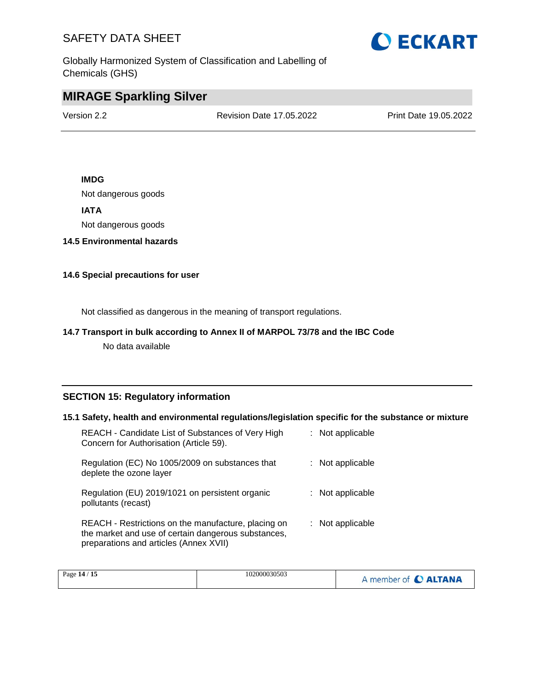

Globally Harmonized System of Classification and Labelling of Chemicals (GHS)

# **MIRAGE Sparkling Silver**

Version 2.2 Revision Date 17.05.2022 Print Date 19.05.2022

## **IMDG**

Not dangerous goods

## **IATA**

Not dangerous goods

## **14.5 Environmental hazards**

## **14.6 Special precautions for user**

Not classified as dangerous in the meaning of transport regulations.

## **14.7 Transport in bulk according to Annex II of MARPOL 73/78 and the IBC Code**

No data available

## **SECTION 15: Regulatory information**

#### **15.1 Safety, health and environmental regulations/legislation specific for the substance or mixture**

| REACH - Candidate List of Substances of Very High<br>Concern for Authorisation (Article 59).                                                         | : Not applicable |
|------------------------------------------------------------------------------------------------------------------------------------------------------|------------------|
| Regulation (EC) No 1005/2009 on substances that<br>deplete the ozone layer                                                                           | : Not applicable |
| Regulation (EU) 2019/1021 on persistent organic<br>pollutants (recast)                                                                               | : Not applicable |
| REACH - Restrictions on the manufacture, placing on<br>the market and use of certain dangerous substances,<br>preparations and articles (Annex XVII) | : Not applicable |

| 15<br>Page 14 / | 102000030503 | <b>CALTANA</b><br>member of |
|-----------------|--------------|-----------------------------|
|-----------------|--------------|-----------------------------|